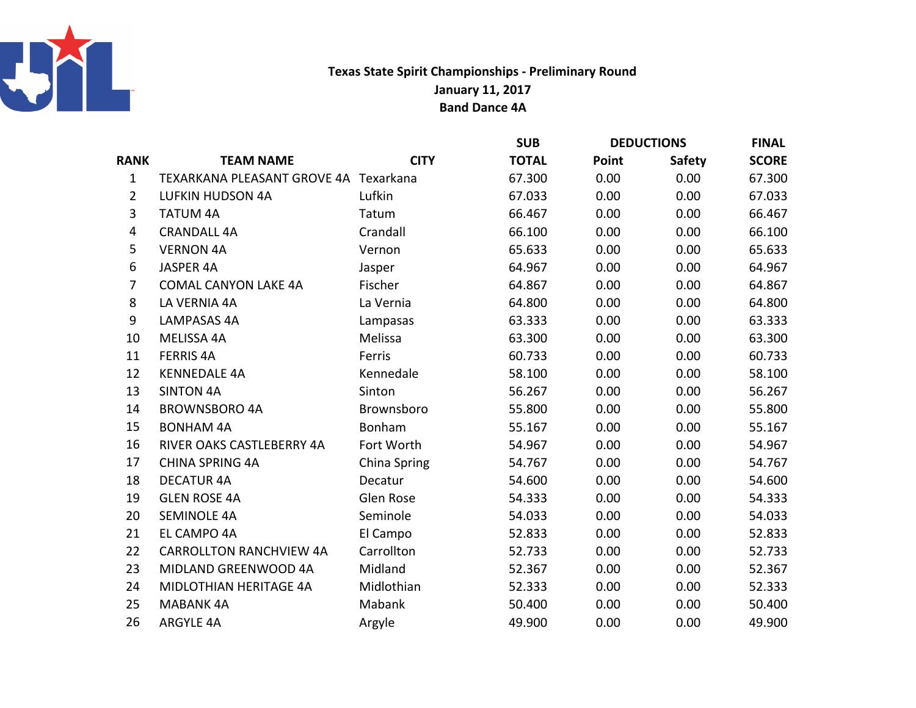

## Texas State Spirit Championships - Preliminary RoundJanuary 11, 2017Band Dance 4A

|                                |              | <b>SUB</b>                            | <b>DEDUCTIONS</b> |               | <b>FINAL</b> |
|--------------------------------|--------------|---------------------------------------|-------------------|---------------|--------------|
| <b>TEAM NAME</b>               | <b>CITY</b>  | <b>TOTAL</b>                          | Point             | <b>Safety</b> | <b>SCORE</b> |
|                                |              | 67.300                                | 0.00              | 0.00          | 67.300       |
| <b>LUFKIN HUDSON 4A</b>        | Lufkin       | 67.033                                | 0.00              | 0.00          | 67.033       |
| <b>TATUM 4A</b>                | Tatum        | 66.467                                | 0.00              | 0.00          | 66.467       |
| <b>CRANDALL 4A</b>             | Crandall     | 66.100                                | 0.00              | 0.00          | 66.100       |
| <b>VERNON 4A</b>               | Vernon       | 65.633                                | 0.00              | 0.00          | 65.633       |
| JASPER 4A                      | Jasper       | 64.967                                | 0.00              | 0.00          | 64.967       |
| <b>COMAL CANYON LAKE 4A</b>    | Fischer      | 64.867                                | 0.00              | 0.00          | 64.867       |
| LA VERNIA 4A                   | La Vernia    | 64.800                                | 0.00              | 0.00          | 64.800       |
| LAMPASAS 4A                    | Lampasas     | 63.333                                | 0.00              | 0.00          | 63.333       |
| MELISSA 4A                     | Melissa      | 63.300                                | 0.00              | 0.00          | 63.300       |
| <b>FERRIS 4A</b>               | Ferris       | 60.733                                | 0.00              | 0.00          | 60.733       |
| <b>KENNEDALE 4A</b>            | Kennedale    | 58.100                                | 0.00              | 0.00          | 58.100       |
| <b>SINTON 4A</b>               | Sinton       | 56.267                                | 0.00              | 0.00          | 56.267       |
| <b>BROWNSBORO 4A</b>           | Brownsboro   | 55.800                                | 0.00              | 0.00          | 55.800       |
| <b>BONHAM 4A</b>               | Bonham       | 55.167                                | 0.00              | 0.00          | 55.167       |
| RIVER OAKS CASTLEBERRY 4A      | Fort Worth   | 54.967                                | 0.00              | 0.00          | 54.967       |
| <b>CHINA SPRING 4A</b>         | China Spring | 54.767                                | 0.00              | 0.00          | 54.767       |
| <b>DECATUR 4A</b>              | Decatur      | 54.600                                | 0.00              | 0.00          | 54.600       |
| <b>GLEN ROSE 4A</b>            | Glen Rose    | 54.333                                | 0.00              | 0.00          | 54.333       |
| <b>SEMINOLE 4A</b>             | Seminole     | 54.033                                | 0.00              | 0.00          | 54.033       |
| EL CAMPO 4A                    | El Campo     | 52.833                                | 0.00              | 0.00          | 52.833       |
| <b>CARROLLTON RANCHVIEW 4A</b> | Carrollton   | 52.733                                | 0.00              | 0.00          | 52.733       |
| MIDLAND GREENWOOD 4A           | Midland      | 52.367                                | 0.00              | 0.00          | 52.367       |
| MIDLOTHIAN HERITAGE 4A         | Midlothian   | 52.333                                | 0.00              | 0.00          | 52.333       |
| <b>MABANK 4A</b>               | Mabank       | 50.400                                | 0.00              | 0.00          | 50.400       |
| <b>ARGYLE 4A</b>               | Argyle       | 49.900                                | 0.00              | 0.00          | 49.900       |
|                                |              | TEXARKANA PLEASANT GROVE 4A Texarkana |                   |               |              |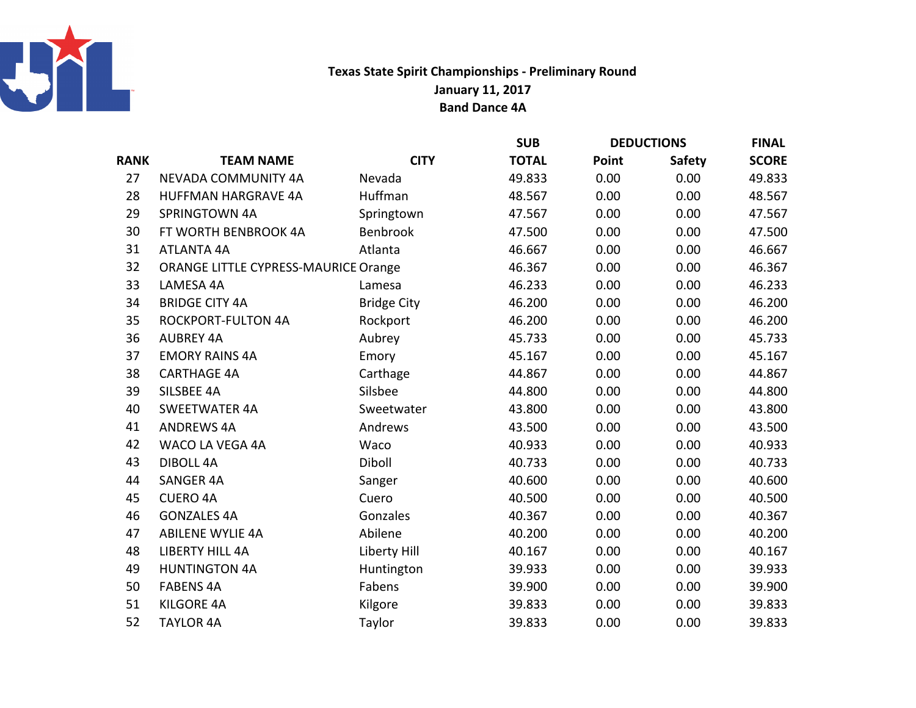

## Texas State Spirit Championships - Preliminary RoundJanuary 11, 2017Band Dance 4A

|                            |                    | <b>SUB</b>                                  | <b>DEDUCTIONS</b> |               | <b>FINAL</b> |
|----------------------------|--------------------|---------------------------------------------|-------------------|---------------|--------------|
| <b>TEAM NAME</b>           | <b>CITY</b>        | <b>TOTAL</b>                                | Point             | <b>Safety</b> | <b>SCORE</b> |
| NEVADA COMMUNITY 4A        | Nevada             | 49.833                                      | 0.00              | 0.00          | 49.833       |
| <b>HUFFMAN HARGRAVE 4A</b> | Huffman            | 48.567                                      | 0.00              | 0.00          | 48.567       |
| SPRINGTOWN 4A              | Springtown         | 47.567                                      | 0.00              | 0.00          | 47.567       |
| FT WORTH BENBROOK 4A       | Benbrook           | 47.500                                      | 0.00              | 0.00          | 47.500       |
| <b>ATLANTA 4A</b>          | Atlanta            | 46.667                                      | 0.00              | 0.00          | 46.667       |
|                            |                    | 46.367                                      | 0.00              | 0.00          | 46.367       |
| LAMESA 4A                  | Lamesa             | 46.233                                      | 0.00              | 0.00          | 46.233       |
| <b>BRIDGE CITY 4A</b>      | <b>Bridge City</b> | 46.200                                      | 0.00              | 0.00          | 46.200       |
| <b>ROCKPORT-FULTON 4A</b>  | Rockport           | 46.200                                      | 0.00              | 0.00          | 46.200       |
| <b>AUBREY 4A</b>           | Aubrey             | 45.733                                      | 0.00              | 0.00          | 45.733       |
| <b>EMORY RAINS 4A</b>      | Emory              | 45.167                                      | 0.00              | 0.00          | 45.167       |
| <b>CARTHAGE 4A</b>         | Carthage           | 44.867                                      | 0.00              | 0.00          | 44.867       |
| SILSBEE 4A                 | Silsbee            | 44.800                                      | 0.00              | 0.00          | 44.800       |
| <b>SWEETWATER 4A</b>       | Sweetwater         | 43.800                                      | 0.00              | 0.00          | 43.800       |
| <b>ANDREWS 4A</b>          | Andrews            | 43.500                                      | 0.00              | 0.00          | 43.500       |
| WACO LA VEGA 4A            | Waco               | 40.933                                      | 0.00              | 0.00          | 40.933       |
| <b>DIBOLL 4A</b>           | Diboll             | 40.733                                      | 0.00              | 0.00          | 40.733       |
| <b>SANGER 4A</b>           | Sanger             | 40.600                                      | 0.00              | 0.00          | 40.600       |
| <b>CUERO 4A</b>            | Cuero              | 40.500                                      | 0.00              | 0.00          | 40.500       |
| <b>GONZALES 4A</b>         | Gonzales           | 40.367                                      | 0.00              | 0.00          | 40.367       |
| <b>ABILENE WYLIE 4A</b>    | Abilene            | 40.200                                      | 0.00              | 0.00          | 40.200       |
| <b>LIBERTY HILL 4A</b>     | Liberty Hill       | 40.167                                      | 0.00              | 0.00          | 40.167       |
| <b>HUNTINGTON 4A</b>       | Huntington         | 39.933                                      | 0.00              | 0.00          | 39.933       |
| <b>FABENS 4A</b>           | Fabens             | 39.900                                      | 0.00              | 0.00          | 39.900       |
| <b>KILGORE 4A</b>          | Kilgore            | 39.833                                      | 0.00              | 0.00          | 39.833       |
| <b>TAYLOR 4A</b>           | Taylor             | 39.833                                      | 0.00              | 0.00          | 39.833       |
|                            |                    | <b>ORANGE LITTLE CYPRESS-MAURICE Orange</b> |                   |               |              |